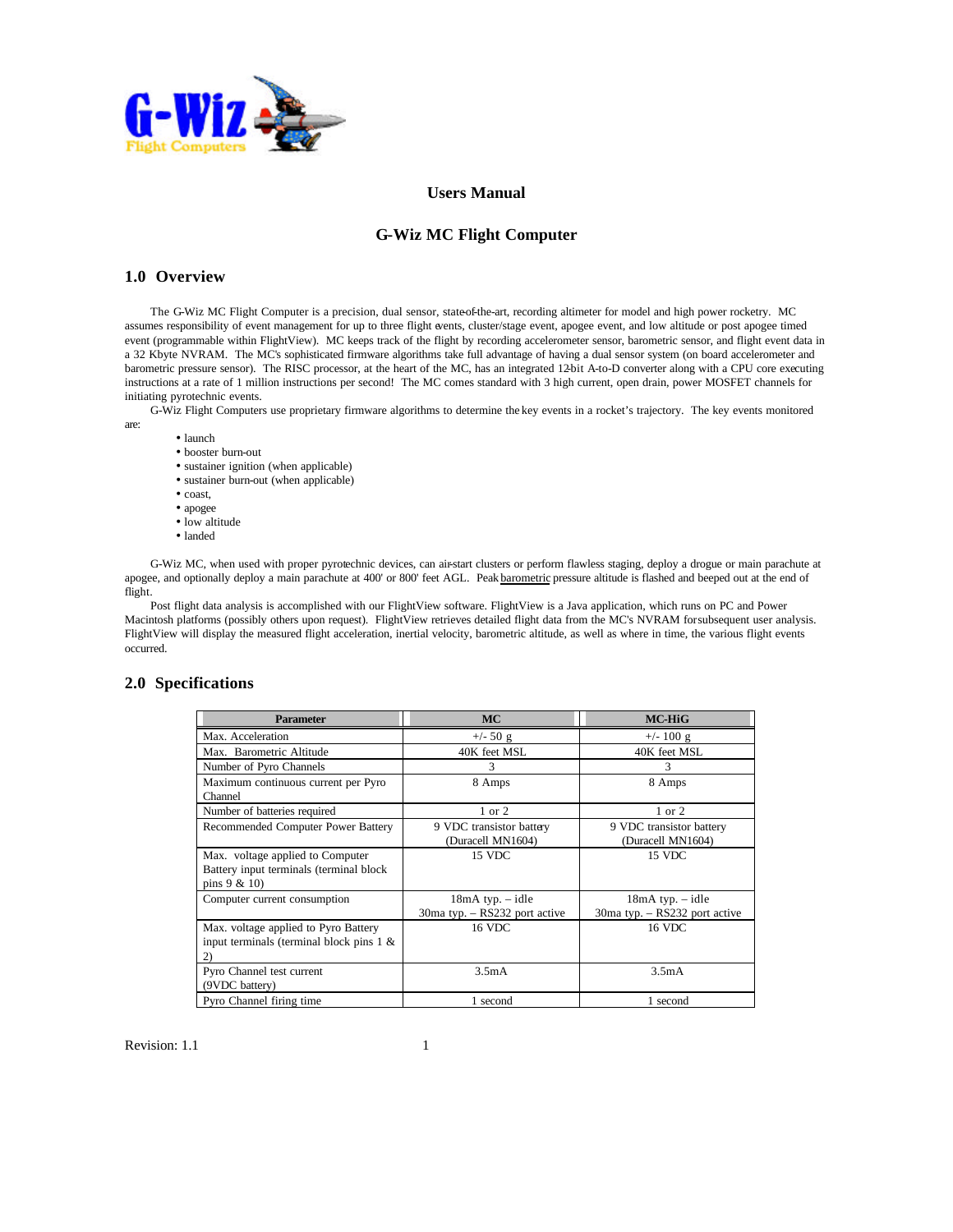

# **Users Manual**

# **G-Wiz MC Flight Computer**

# **1.0 Overview**

The G-Wiz MC Flight Computer is a precision, dual sensor, state-of-the-art, recording altimeter for model and high power rocketry. MC assumes responsibility of event management for up to three flight events, cluster/stage event, apogee event, and low altitude or post apogee timed event (programmable within FlightView). MC keeps track of the flight by recording accelerometer sensor, barometric sensor, and flight event data in a 32 Kbyte NVRAM. The MC's sophisticated firmware algorithms take full advantage of having a dual sensor system (on board accelerometer and barometric pressure sensor). The RISC processor, at the heart of the MC, has an integrated 12-bit A-to-D converter along with a CPU core executing instructions at a rate of 1 million instructions per second! The MC comes standard with 3 high current, open drain, power MOSFET channels for initiating pyrotechnic events.

G-Wiz Flight Computers use proprietary firmware algorithms to determine the key events in a rocket's trajectory. The key events monitored are:

- launch
- booster burn-out
- sustainer ignition (when applicable)
- sustainer burn-out (when applicable)
- coast,
- apogee
- low altitude
- landed

G-Wiz MC, when used with proper pyrotechnic devices, can air-start clusters or perform flawless staging, deploy a drogue or main parachute at apogee, and optionally deploy a main parachute at 400' or 800' feet AGL. Peak barometric pressure altitude is flashed and beeped out at the end of flight.

Post flight data analysis is accomplished with our FlightView software. FlightView is a Java application, which runs on PC and Power Macintosh platforms (possibly others upon request). FlightView retrieves detailed flight data from the MC's NVRAM for subsequent user analysis. FlightView will display the measured flight acceleration, inertial velocity, barometric altitude, as well as where in time, the various flight events occurred.

### **2.0 Specifications**

| <b>Parameter</b>                                                                             | <b>MC</b>                                             | <b>MC-HiG</b>                                             |
|----------------------------------------------------------------------------------------------|-------------------------------------------------------|-----------------------------------------------------------|
| Max. Acceleration                                                                            | $+/- 50$ g                                            | $+/- 100 g$                                               |
| Max. Barometric Altitude                                                                     | 40K feet MSL                                          | 40K feet MSL                                              |
| Number of Pyro Channels                                                                      | 3                                                     | 3                                                         |
| Maximum continuous current per Pyro<br>Channel                                               | 8 Amps                                                | 8 Amps                                                    |
| Number of batteries required                                                                 | 1 or 2                                                | $1$ or $2$                                                |
| Recommended Computer Power Battery                                                           | 9 VDC transistor battery<br>(Duracell MN1604)         | 9 VDC transistor battery<br>(Duracell MN1604)             |
| Max. voltage applied to Computer<br>Battery input terminals (terminal block<br>pins $9 & 10$ | 15 VDC                                                | 15 VDC                                                    |
| Computer current consumption                                                                 | $18mA$ typ. $-$ idle<br>30ma typ. - RS232 port active | $18mA$ typ. $-$ idle<br>$30ma$ typ. $-$ RS232 port active |
| Max. voltage applied to Pyro Battery<br>input terminals (terminal block pins $1 \&$          | 16 VDC                                                | 16 VDC                                                    |
| Pyro Channel test current<br>(9VDC battery)                                                  | 3.5mA                                                 | 3.5mA                                                     |
| Pyro Channel firing time                                                                     | 1 second                                              | 1 second                                                  |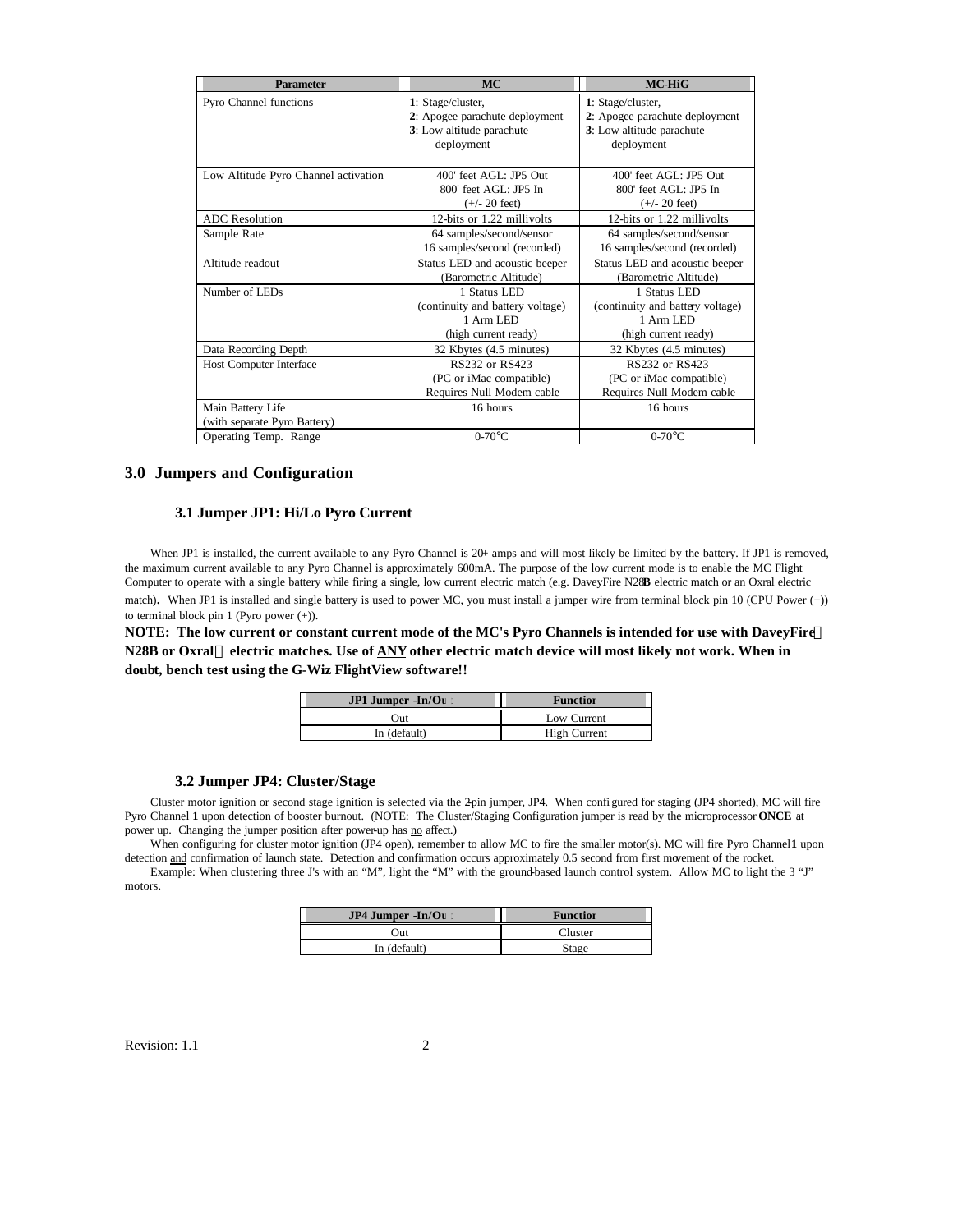| <b>Parameter</b>                     | <b>MC</b>                        | <b>MC-HiG</b>                    |
|--------------------------------------|----------------------------------|----------------------------------|
| Pyro Channel functions               | 1: Stage/cluster,                | 1: Stage/cluster,                |
|                                      | 2: Apogee parachute deployment   | 2: Apogee parachute deployment   |
|                                      | 3: Low altitude parachute        | 3: Low altitude parachute        |
|                                      | deployment                       | deployment                       |
|                                      |                                  |                                  |
| Low Altitude Pyro Channel activation | 400' feet AGL: JP5 Out           | 400' feet AGL: JP5 Out           |
|                                      | 800' feet AGL: JP5 In            | $800'$ feet AGL: JP5 In          |
|                                      | $(+/- 20$ feet)                  | $(+/- 20$ feet)                  |
| <b>ADC</b> Resolution                | 12-bits or 1.22 millivolts       | 12-bits or 1.22 millivolts       |
| Sample Rate                          | 64 samples/second/sensor         | 64 samples/second/sensor         |
|                                      | 16 samples/second (recorded)     | 16 samples/second (recorded)     |
| Altitude readout                     | Status LED and acoustic beeper   | Status LED and acoustic beeper   |
|                                      | (Barometric Altitude)            | (Barometric Altitude)            |
| Number of LEDs                       | 1 Status LED                     | 1 Status LED                     |
|                                      | (continuity and battery voltage) | (continuity and battery voltage) |
|                                      | 1 Arm LED                        | 1 Arm LED                        |
|                                      | (high current ready)             | (high current ready)             |
| Data Recording Depth                 | 32 Kbytes (4.5 minutes)          | 32 Kbytes (4.5 minutes)          |
| Host Computer Interface              | RS232 or RS423                   | RS232 or RS423                   |
|                                      | (PC or iMac compatible)          | (PC or iMac compatible)          |
|                                      | Requires Null Modem cable        | Requires Null Modem cable        |
| Main Battery Life                    | 16 hours                         | 16 hours                         |
| (with separate Pyro Battery)         |                                  |                                  |
| Operating Temp. Range                | $0-70$ °C                        | $0-70$ °C                        |

# **3.0 Jumpers and Configuration**

## **3.1 Jumper JP1: Hi/Lo Pyro Current**

When JP1 is installed, the current available to any Pyro Channel is 20+ amps and will most likely be limited by the battery. If JP1 is removed, the maximum current available to any Pyro Channel is approximately 600mA. The purpose of the low current mode is to enable the MC Flight Computer to operate with a single battery while firing a single, low current electric match (e.g. DaveyFire N28**B** electric match or an Oxral electric

match). When JP1 is installed and single battery is used to power MC, you must install a jumper wire from terminal block pin 10 (CPU Power (+)) to terminal block pin 1 (Pyro power (+)).

**NOTE: The low current or constant current mode of the MC's Pyro Channels is intended for use with DaveyFire N28B or Oxral electric matches. Use of ANY other electric match device will most likely not work. When in doubt, bench test using the G-Wiz FlightView software!!**

| <b>JP1 Jumper -In/Ou</b> | <b>Function</b> |
|--------------------------|-----------------|
| Jut                      | Low Current     |
| In (default)             | High Current    |

#### **3.2 Jumper JP4: Cluster/Stage**

Cluster motor ignition or second stage ignition is selected via the 2-pin jumper, JP4. When confi gured for staging (JP4 shorted), MC will fire Pyro Channel **1** upon detection of booster burnout. (NOTE: The Cluster/Staging Configuration jumper is read by the microprocessor **ONCE** at power up. Changing the jumper position after power-up has no affect.)

When configuring for cluster motor ignition (JP4 open), remember to allow MC to fire the smaller motor(s). MC will fire Pyro Channel 1 upon detection and confirmation of launch state. Detection and confirmation occurs approximately 0.5 second from first movement of the rocket.

Example: When clustering three J's with an "M", light the "M" with the ground-based launch control system. Allow MC to light the 3 "J" motors.

| $JP4$ Jumper $-In/Ou$ | <b>Function</b> |
|-----------------------|-----------------|
| Out                   | Cluster         |
| In (default)          | Stage           |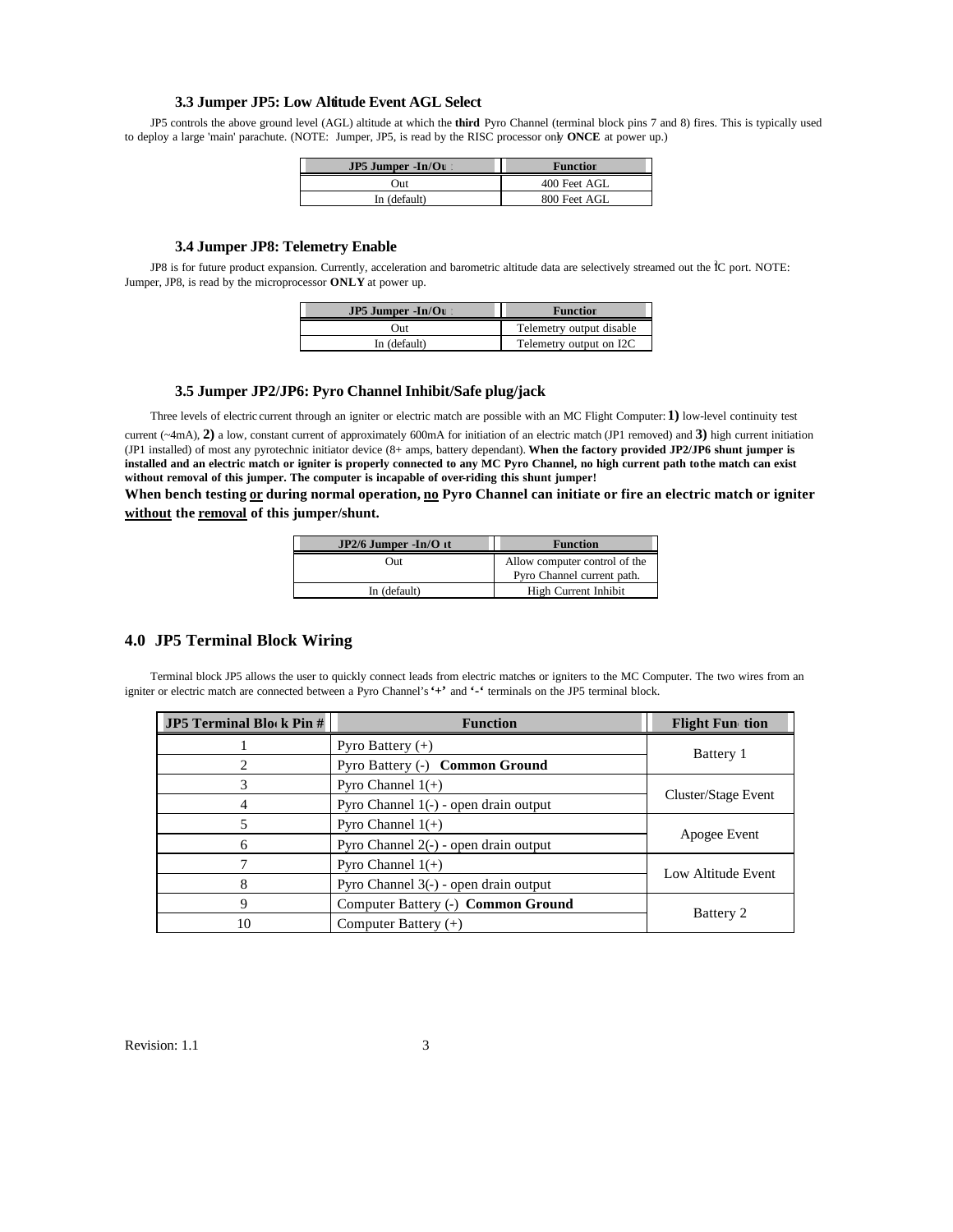#### **3.3 Jumper JP5: Low Altitude Event AGL Select**

JP5 controls the above ground level (AGL) altitude at which the **third** Pyro Channel (terminal block pins 7 and 8) fires. This is typically used to deploy a large 'main' parachute. (NOTE: Jumper, JP5, is read by the RISC processor only **ONCE** at power up.)

| $JP5$ Jumper $-In/Ou$ | <b>Function</b> |
|-----------------------|-----------------|
| Out                   | 400 Feet AGL    |
| In (default)          | 800 Feet AGL    |

### **3.4 Jumper JP8: Telemetry Enable**

JP8 is for future product expansion. Currently, acceleration and barometric altitude data are selectively streamed out the ÎC port. NOTE: Jumper, JP8, is read by the microprocessor **ONLY** at power up.

| $JP5$ Jumper $-In/Or$ | <b>Function</b>          |
|-----------------------|--------------------------|
| Out                   | Telemetry output disable |
| In (default)          | Telemetry output on I2C  |

#### **3.5 Jumper JP2/JP6: Pyro Channel Inhibit/Safe plug/jack**

Three levels of electric current through an igniter or electric match are possible with an MC Flight Computer: **1)** low-level continuity test current (~4mA), **2)** a low, constant current of approximately 600mA for initiation of an electric match (JP1 removed) and **3)** high current initiation (JP1 installed) of most any pyrotechnic initiator device (8+ amps, battery dependant). **When the factory provided JP2/JP6 shunt jumper is**  installed and an electric match or igniter is properly connected to any MC Pyro Channel, no high current path to the match can exist **without removal of this jumper. The computer is incapable of over-riding this shunt jumper!** 

When bench testing or during normal operation, no Pyro Channel can initiate or fire an electric match or igniter **without the removal of this jumper/shunt.**

| $JP2/6$ Jumper -In/O it | <b>Function</b>               |
|-------------------------|-------------------------------|
| Out                     | Allow computer control of the |
|                         | Pyro Channel current path.    |
| In (default)            | High Current Inhibit          |

# **4.0 JP5 Terminal Block Wiring**

Terminal block JP5 allows the user to quickly connect leads from electric matches or igniters to the MC Computer. The two wires from an igniter or electric match are connected between a Pyro Channel's **'+'** and **'-'** terminals on the JP5 terminal block.

| <b>JP5</b> Terminal Block Pin $#$ | <b>Function</b>                         | <b>Flight Fun</b> tion |
|-----------------------------------|-----------------------------------------|------------------------|
|                                   | Pyro Battery $(+)$                      | Battery 1              |
|                                   | Pyro Battery (-) Common Ground          |                        |
|                                   | Pyro Channel $1(+)$                     |                        |
|                                   | Pyro Channel 1(-) - open drain output   | Cluster/Stage Event    |
|                                   | Pyro Channel $1(+)$                     |                        |
| 6                                 | Pyro Channel $2(-)$ - open drain output | Apogee Event           |
|                                   | Pyro Channel $1(+)$                     | Low Altitude Event     |
| 8                                 | Pyro Channel 3(-) - open drain output   |                        |
| 9                                 | Computer Battery (-) Common Ground      |                        |
| 10                                | Computer Battery $(+)$                  | Battery 2              |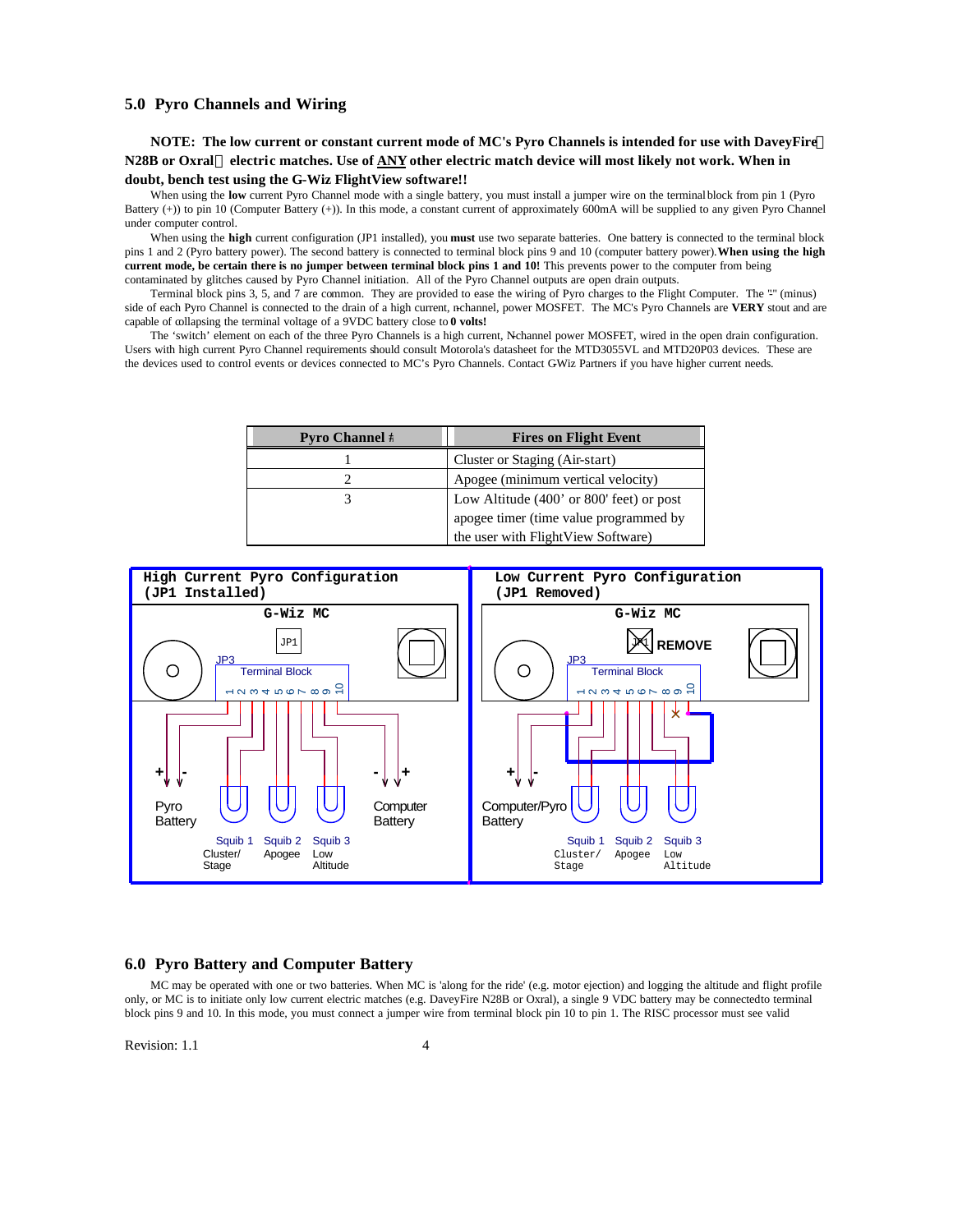# **5.0 Pyro Channels and Wiring**

**NOTE: The low current or constant current mode of MC's Pyro Channels is intended for use with DaveyFire N28B or Oxral electric matches. Use of ANY other electric match device will most likely not work. When in doubt, bench test using the G-Wiz FlightView software!!**

When using the low current Pyro Channel mode with a single battery, you must install a jumper wire on the terminal block from pin 1 (Pyro Battery (+)) to pin 10 (Computer Battery (+)). In this mode, a constant current of approximately 600mA will be supplied to any given Pyro Channel under computer control.

When using the **high** current configuration (JP1 installed), you **must** use two separate batteries. One battery is connected to the terminal block pins 1 and 2 (Pyro battery power). The second battery is connected to terminal block pins 9 and 10 (computer battery power). **When using the high current mode, be certain there is no jumper between terminal block pins 1 and 10!** This prevents power to the computer from being contaminated by glitches caused by Pyro Channel initiation. All of the Pyro Channel outputs are open drain outputs.

Terminal block pins 3, 5, and 7 are common. They are provided to ease the wiring of Pyro charges to the Flight Computer. The "" (minus) side of each Pyro Channel is connected to the drain of a high current, n-channel, power MOSFET. The MC's Pyro Channels are **VERY** stout and are capable of collapsing the terminal voltage of a 9VDC battery close to **0 volts!**

The 'switch' element on each of the three Pyro Channels is a high current, N-channel power MOSFET, wired in the open drain configuration. Users with high current Pyro Channel requirements should consult Motorola's datasheet for the MTD3055VL and MTD20P03 devices. These are the devices used to control events or devices connected to MC's Pyro Channels. Contact GWiz Partners if you have higher current needs.

| <b>Pyro Channel #</b> | <b>Fires on Flight Event</b>               |
|-----------------------|--------------------------------------------|
|                       | Cluster or Staging (Air-start)             |
|                       | Apogee (minimum vertical velocity)         |
|                       | Low Altitude $(400'$ or 800' feet) or post |
|                       | apogee timer (time value programmed by     |
|                       | the user with FlightView Software)         |



### **6.0 Pyro Battery and Computer Battery**

MC may be operated with one or two batteries. When MC is 'along for the ride' (e.g. motor ejection) and logging the altitude and flight profile only, or MC is to initiate only low current electric matches (e.g. DaveyFire N28B or Oxral), a single 9 VDC battery may be connected to terminal block pins 9 and 10. In this mode, you must connect a jumper wire from terminal block pin 10 to pin 1. The RISC processor must see valid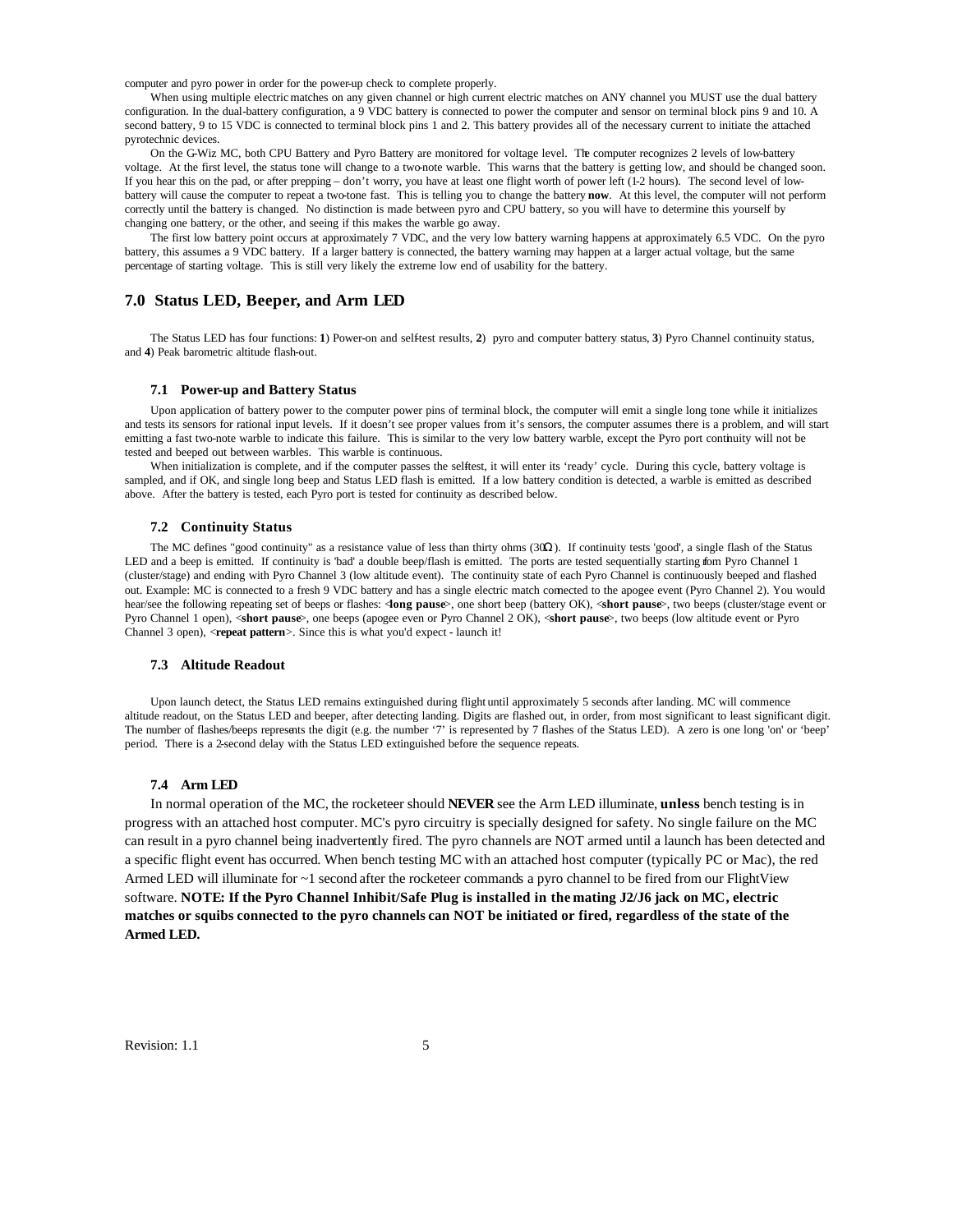computer and pyro power in order for the power-up check to complete properly.

When using multiple electric matches on any given channel or high current electric matches on ANY channel you MUST use the dual battery configuration. In the dual-battery configuration, a 9 VDC battery is connected to power the computer and sensor on terminal block pins 9 and 10. A second battery, 9 to 15 VDC is connected to terminal block pins 1 and 2. This battery provides all of the necessary current to initiate the attached pyrotechnic devices.

On the G-Wiz MC, both CPU Battery and Pyro Battery are monitored for voltage level. The computer recognizes 2 levels of low-battery voltage. At the first level, the status tone will change to a two-note warble. This warns that the battery is getting low, and should be changed soon. If you hear this on the pad, or after prepping – don't worry, you have at least one flight worth of power left (1-2 hours). The second level of lowbattery will cause the computer to repeat a two-tone fast. This is telling you to change the battery **now**. At this level, the computer will not perform correctly until the battery is changed. No distinction is made between pyro and CPU battery, so you will have to determine this yourself by changing one battery, or the other, and seeing if this makes the warble go away.

The first low battery point occurs at approximately 7 VDC, and the very low battery warning happens at approximately 6.5 VDC. On the pyro battery, this assumes a 9 VDC battery. If a larger battery is connected, the battery warning may happen at a larger actual voltage, but the same percentage of starting voltage. This is still very likely the extreme low end of usability for the battery.

### **7.0 Status LED, Beeper, and Arm LED**

The Status LED has four functions: **1**) Power-on and self-test results, **2**) pyro and computer battery status, **3**) Pyro Channel continuity status, and **4**) Peak barometric altitude flash-out.

#### **7.1 Power-up and Battery Status**

Upon application of battery power to the computer power pins of terminal block, the computer will emit a single long tone while it initializes and tests its sensors for rational input levels. If it doesn't see proper values from it's sensors, the computer assumes there is a problem, and will start emitting a fast two-note warble to indicate this failure. This is similar to the very low battery warble, except the Pyro port continuity will not be tested and beeped out between warbles. This warble is continuous.

When initialization is complete, and if the computer passes the selftest, it will enter its 'ready' cycle. During this cycle, battery voltage is sampled, and if OK, and single long beep and Status LED flash is emitted. If a low battery condition is detected, a warble is emitted as described above. After the battery is tested, each Pyro port is tested for continuity as described below.

#### **7.2 Continuity Status**

The MC defines "good continuity" as a resistance value of less than thirty ohms (30Ω). If continuity tests 'good', a single flash of the Status LED and a beep is emitted. If continuity is 'bad' a double beep/flash is emitted. The ports are tested sequentially starting fom Pyro Channel 1 (cluster/stage) and ending with Pyro Channel 3 (low altitude event). The continuity state of each Pyro Channel is continuously beeped and flashed out. Example: MC is connected to a fresh 9 VDC battery and has a single electric match connected to the apogee event (Pyro Channel 2). You would hear/see the following repeating set of beeps or flashes: <**long pause**>, one short beep (battery OK), <**short pause**>, two beeps (cluster/stage event or Pyro Channel 1 open), <**short pause**>, one beeps (apogee even or Pyro Channel 2 OK), <**short pause**>, two beeps (low altitude event or Pyro Channel 3 open), <**repeat pattern**>. Since this is what you'd expect - launch it!

#### **7.3 Altitude Readout**

Upon launch detect, the Status LED remains extinguished during flight until approximately 5 seconds after landing. MC will commence altitude readout, on the Status LED and beeper, after detecting landing. Digits are flashed out, in order, from most significant to least significant digit. The number of flashes/beeps represents the digit (e.g. the number '7' is represented by 7 flashes of the Status LED). A zero is one long 'on' or 'beep' period. There is a 2-second delay with the Status LED extinguished before the sequence repeats.

#### **7.4 Arm LED**

In normal operation of the MC, the rocketeer should **NEVER** see the Arm LED illuminate, **unless** bench testing is in progress with an attached host computer. MC's pyro circuitry is specially designed for safety. No single failure on the MC can result in a pyro channel being inadvertently fired. The pyro channels are NOT armed until a launch has been detected and a specific flight event has occurred. When bench testing MC with an attached host computer (typically PC or Mac), the red Armed LED will illuminate for ~1 second after the rocketeer commands a pyro channel to be fired from our FlightView software. **NOTE: If the Pyro Channel Inhibit/Safe Plug is installed in the mating J2/J6 jack on MC, electric matches or squibs connected to the pyro channels can NOT be initiated or fired, regardless of the state of the Armed LED.**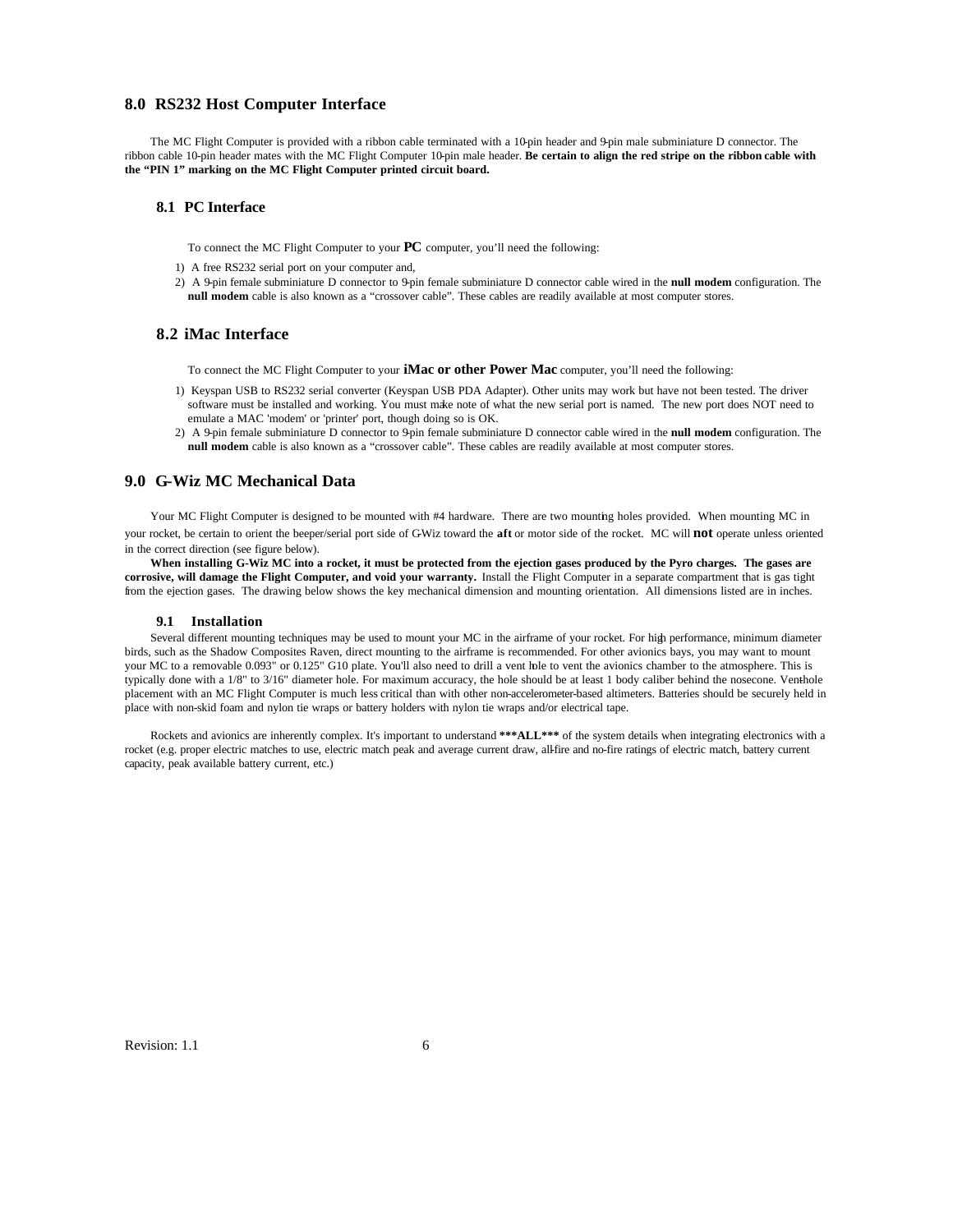### **8.0 RS232 Host Computer Interface**

The MC Flight Computer is provided with a ribbon cable terminated with a 10-pin header and 9-pin male subminiature D connector. The ribbon cable 10-pin header mates with the MC Flight Computer 10-pin male header. **Be certain to align the red stripe on the ribbon cable with the "PIN 1" marking on the MC Flight Computer printed circuit board.**

#### **8.1 PC Interface**

To connect the MC Flight Computer to your **PC** computer, you'll need the following:

- 1) A free RS232 serial port on your computer and,
- 2) A 9-pin female subminiature D connector to 9-pin female subminiature D connector cable wired in the **null modem** configuration. The **null modem** cable is also known as a "crossover cable". These cables are readily available at most computer stores.

### **8.2 iMac Interface**

To connect the MC Flight Computer to your **iMac or other Power Mac** computer, you'll need the following:

- 1) Keyspan USB to RS232 serial converter (Keyspan USB PDA Adapter). Other units may work but have not been tested. The driver software must be installed and working. You must make note of what the new serial port is named. The new port does NOT need to emulate a MAC 'modem' or 'printer' port, though doing so is OK.
- 2) A 9-pin female subminiature D connector to 9-pin female subminiature D connector cable wired in the **null modem** configuration. The **null modem** cable is also known as a "crossover cable". These cables are readily available at most computer stores.

#### **9.0 G-Wiz MC Mechanical Data**

Your MC Flight Computer is designed to be mounted with #4 hardware. There are two mounting holes provided. When mounting MC in your rocket, be certain to orient the beeper/serial port side of G-Wiz toward the **aft** or motor side of the rocket. MC will **not** operate unless oriented in the correct direction (see figure below).

**When installing G-Wiz MC into a rocket, it must be protected from the ejection gases produced by the Pyro charges. The gases are corrosive, will damage the Flight Computer, and void your warranty.** Install the Flight Computer in a separate compartment that is gas tight from the ejection gases. The drawing below shows the key mechanical dimension and mounting orientation. All dimensions listed are in inches.

#### **9.1 Installation**

Several different mounting techniques may be used to mount your MC in the airframe of your rocket. For high performance, minimum diameter birds, such as the Shadow Composites Raven, direct mounting to the airframe is recommended. For other avionics bays, you may want to mount your MC to a removable 0.093" or 0.125" G10 plate. You'll also need to drill a vent hole to vent the avionics chamber to the atmosphere. This is typically done with a 1/8" to 3/16" diameter hole. For maximum accuracy, the hole should be at least 1 body caliber behind the nosecone. Venthole placement with an MC Flight Computer is much less critical than with other non-accelerometer-based altimeters. Batteries should be securely held in place with non-skid foam and nylon tie wraps or battery holders with nylon tie wraps and/or electrical tape.

Rockets and avionics are inherently complex. It's important to understand **\*\*\*ALL\*\*\*** of the system details when integrating electronics with a rocket (e.g. proper electric matches to use, electric match peak and average current draw, all-fire and no-fire ratings of electric match, battery current capacity, peak available battery current, etc.)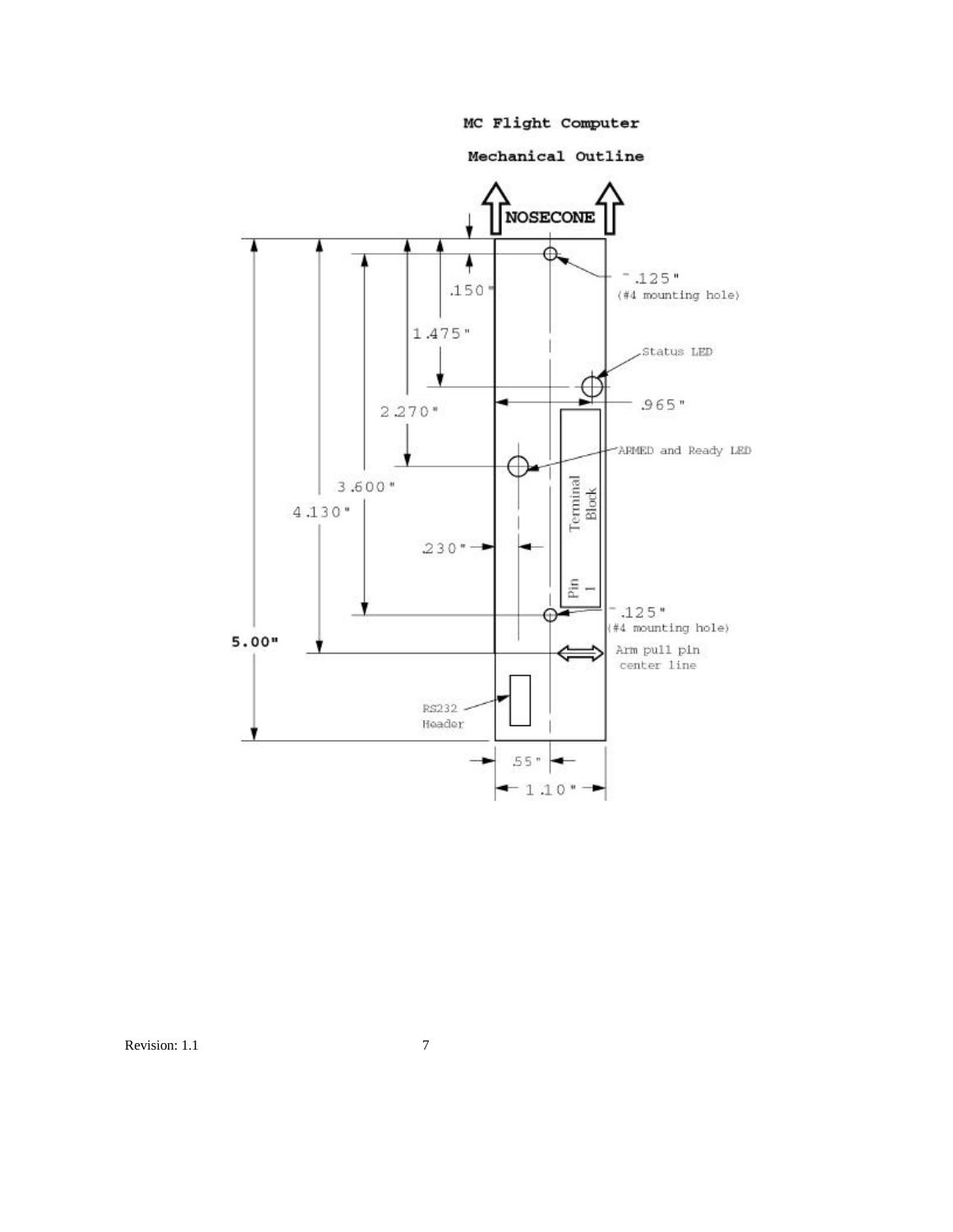